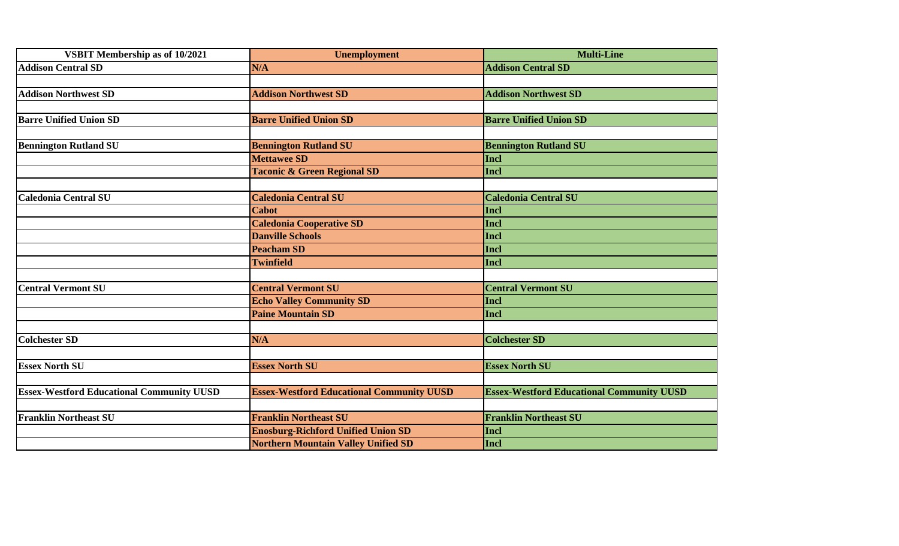| <b>VSBIT Membership as of 10/2021</b>            | <b>Unemployment</b>                              | <b>Multi-Line</b>                                |
|--------------------------------------------------|--------------------------------------------------|--------------------------------------------------|
| <b>Addison Central SD</b>                        | N/A                                              | <b>Addison Central SD</b>                        |
|                                                  |                                                  |                                                  |
| <b>Addison Northwest SD</b>                      | <b>Addison Northwest SD</b>                      | <b>Addison Northwest SD</b>                      |
| <b>Barre Unified Union SD</b>                    | <b>Barre Unified Union SD</b>                    | <b>Barre Unified Union SD</b>                    |
| <b>Bennington Rutland SU</b>                     | <b>Bennington Rutland SU</b>                     | <b>Bennington Rutland SU</b>                     |
|                                                  | <b>Mettawee SD</b>                               | <b>Incl</b>                                      |
|                                                  | <b>Taconic &amp; Green Regional SD</b>           | Incl                                             |
| <b>Caledonia Central SU</b>                      | <b>Caledonia Central SU</b>                      | <b>Caledonia Central SU</b>                      |
|                                                  | <b>Cabot</b>                                     | Incl                                             |
|                                                  | <b>Caledonia Cooperative SD</b>                  | Incl                                             |
|                                                  | <b>Danville Schools</b>                          | Incl                                             |
|                                                  | <b>Peacham SD</b>                                | Incl                                             |
|                                                  | <b>Twinfield</b>                                 | Incl                                             |
| <b>Central Vermont SU</b>                        | <b>Central Vermont SU</b>                        | <b>Central Vermont SU</b>                        |
|                                                  | <b>Echo Valley Community SD</b>                  | Incl                                             |
|                                                  | <b>Paine Mountain SD</b>                         | Incl                                             |
| <b>Colchester SD</b>                             | N/A                                              | <b>Colchester SD</b>                             |
|                                                  |                                                  |                                                  |
| <b>Essex North SU</b>                            | <b>Essex North SU</b>                            | <b>Essex North SU</b>                            |
| <b>Essex-Westford Educational Community UUSD</b> | <b>Essex-Westford Educational Community UUSD</b> | <b>Essex-Westford Educational Community UUSD</b> |
| <b>Franklin Northeast SU</b>                     | <b>Franklin Northeast SU</b>                     | <b>Franklin Northeast SU</b>                     |
|                                                  | <b>Enosburg-Richford Unified Union SD</b>        | <b>Incl</b>                                      |
|                                                  | <b>Northern Mountain Valley Unified SD</b>       | Incl                                             |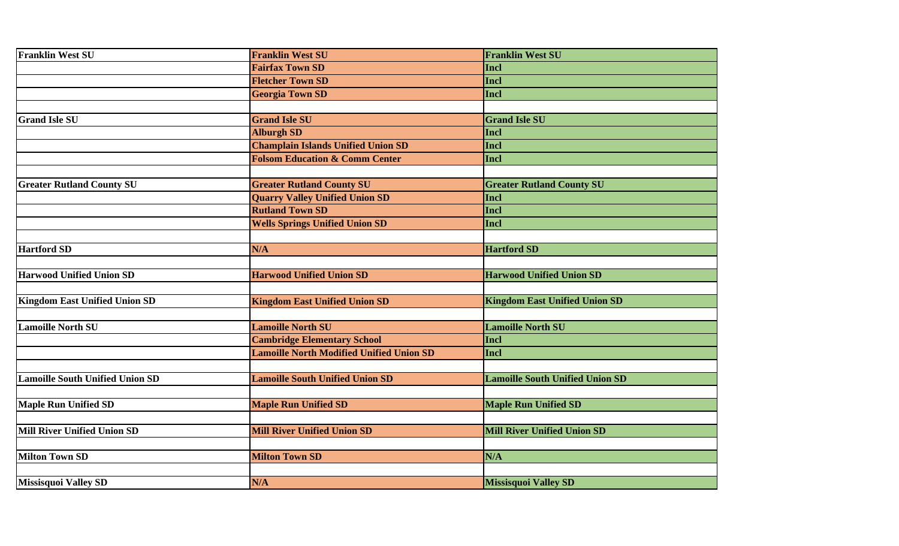| <b>Franklin West SU</b>                | <b>Franklin West SU</b>                         | <b>Franklin West SU</b>                |
|----------------------------------------|-------------------------------------------------|----------------------------------------|
|                                        | <b>Fairfax Town SD</b>                          | Incl                                   |
|                                        | <b>Fletcher Town SD</b>                         | Incl                                   |
|                                        | <b>Georgia Town SD</b>                          | Incl                                   |
|                                        |                                                 |                                        |
| <b>Grand Isle SU</b>                   | <b>Grand Isle SU</b>                            | <b>Grand Isle SU</b>                   |
|                                        | <b>Alburgh SD</b>                               | Incl                                   |
|                                        | <b>Champlain Islands Unified Union SD</b>       | Incl                                   |
|                                        | <b>Folsom Education &amp; Comm Center</b>       | Incl                                   |
|                                        |                                                 |                                        |
| <b>Greater Rutland County SU</b>       | <b>Greater Rutland County SU</b>                | <b>Greater Rutland County SU</b>       |
|                                        | <b>Quarry Valley Unified Union SD</b>           | <b>Incl</b>                            |
|                                        | <b>Rutland Town SD</b>                          | <b>Incl</b>                            |
|                                        | <b>Wells Springs Unified Union SD</b>           | <b>Incl</b>                            |
|                                        |                                                 |                                        |
| <b>Hartford SD</b>                     | N/A                                             | <b>Hartford SD</b>                     |
|                                        |                                                 |                                        |
| <b>Harwood Unified Union SD</b>        | <b>Harwood Unified Union SD</b>                 | <b>Harwood Unified Union SD</b>        |
|                                        |                                                 |                                        |
| <b>Kingdom East Unified Union SD</b>   | <b>Kingdom East Unified Union SD</b>            | <b>Kingdom East Unified Union SD</b>   |
|                                        |                                                 |                                        |
| <b>Lamoille North SU</b>               | <b>Lamoille North SU</b>                        | <b>Lamoille North SU</b>               |
|                                        | <b>Cambridge Elementary School</b>              | <b>Incl</b>                            |
|                                        | <b>Lamoille North Modified Unified Union SD</b> | Incl                                   |
|                                        |                                                 |                                        |
| <b>Lamoille South Unified Union SD</b> | <b>Lamoille South Unified Union SD</b>          | <b>Lamoille South Unified Union SD</b> |
|                                        |                                                 |                                        |
| <b>Maple Run Unified SD</b>            | <b>Maple Run Unified SD</b>                     | <b>Maple Run Unified SD</b>            |
|                                        |                                                 |                                        |
| Mill River Unified Union SD            | <b>Mill River Unified Union SD</b>              | <b>Mill River Unified Union SD</b>     |
|                                        |                                                 |                                        |
| <b>Milton Town SD</b>                  | <b>Milton Town SD</b>                           | N/A                                    |
|                                        |                                                 |                                        |
| <b>Missisquoi Valley SD</b>            | N/A                                             | <b>Missisquoi Valley SD</b>            |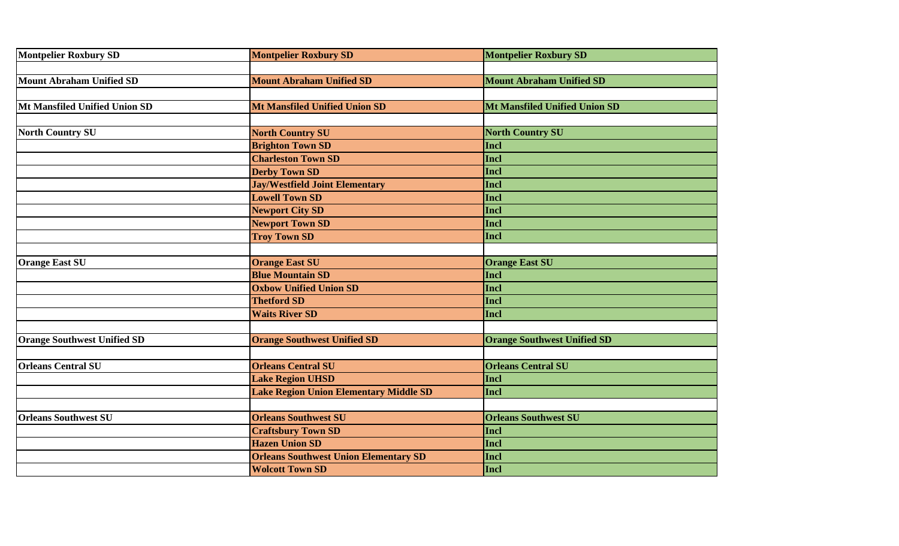| <b>Montpelier Roxbury SD</b>       | <b>Montpelier Roxbury SD</b>                  | <b>Montpelier Roxbury SD</b>         |
|------------------------------------|-----------------------------------------------|--------------------------------------|
| <b>Mount Abraham Unified SD</b>    | <b>Mount Abraham Unified SD</b>               | <b>Mount Abraham Unified SD</b>      |
|                                    |                                               |                                      |
| Mt Mansfiled Unified Union SD      | <b>Mt Mansfiled Unified Union SD</b>          | <b>Mt Mansfiled Unified Union SD</b> |
|                                    |                                               |                                      |
| <b>North Country SU</b>            | <b>North Country SU</b>                       | <b>North Country SU</b>              |
|                                    | <b>Brighton Town SD</b>                       | Incl                                 |
|                                    | <b>Charleston Town SD</b>                     | Incl                                 |
|                                    | <b>Derby Town SD</b>                          | Incl                                 |
|                                    | <b>Jay/Westfield Joint Elementary</b>         | Incl                                 |
|                                    | <b>Lowell Town SD</b>                         | Incl                                 |
|                                    | <b>Newport City SD</b>                        | Incl                                 |
|                                    | <b>Newport Town SD</b>                        | Incl                                 |
|                                    | <b>Troy Town SD</b>                           | Incl                                 |
|                                    |                                               |                                      |
| <b>Orange East SU</b>              | <b>Orange East SU</b>                         | <b>Orange East SU</b>                |
|                                    | <b>Blue Mountain SD</b>                       | Incl                                 |
|                                    | <b>Oxbow Unified Union SD</b>                 | Incl                                 |
|                                    | <b>Thetford SD</b>                            | Incl                                 |
|                                    | <b>Waits River SD</b>                         | Incl                                 |
|                                    |                                               |                                      |
| <b>Orange Southwest Unified SD</b> | <b>Orange Southwest Unified SD</b>            | <b>Orange Southwest Unified SD</b>   |
|                                    |                                               |                                      |
| <b>Orleans Central SU</b>          | <b>Orleans Central SU</b>                     | <b>Orleans Central SU</b>            |
|                                    | <b>Lake Region UHSD</b>                       | Incl                                 |
|                                    | <b>Lake Region Union Elementary Middle SD</b> | Incl                                 |
|                                    |                                               |                                      |
| <b>Orleans Southwest SU</b>        | <b>Orleans Southwest SU</b>                   | <b>Orleans Southwest SU</b>          |
|                                    | <b>Craftsbury Town SD</b>                     | Incl                                 |
|                                    | <b>Hazen Union SD</b>                         | Incl                                 |
|                                    | <b>Orleans Southwest Union Elementary SD</b>  | Incl                                 |
|                                    | <b>Wolcott Town SD</b>                        | Incl                                 |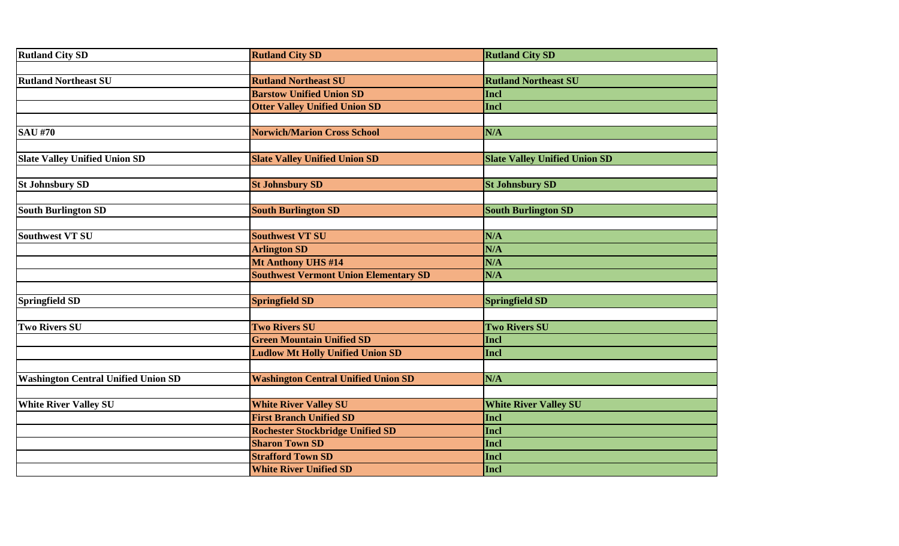| <b>Rutland City SD</b>                     | <b>Rutland City SD</b>                       | <b>Rutland City SD</b>               |
|--------------------------------------------|----------------------------------------------|--------------------------------------|
|                                            |                                              |                                      |
| <b>Rutland Northeast SU</b>                | <b>Rutland Northeast SU</b>                  | <b>Rutland Northeast SU</b>          |
|                                            | <b>Barstow Unified Union SD</b>              | Incl                                 |
|                                            | <b>Otter Valley Unified Union SD</b>         | Incl                                 |
| <b>SAU #70</b>                             | <b>Norwich/Marion Cross School</b>           | N/A                                  |
|                                            |                                              |                                      |
| <b>Slate Valley Unified Union SD</b>       | <b>Slate Valley Unified Union SD</b>         | <b>Slate Valley Unified Union SD</b> |
| <b>St Johnsbury SD</b>                     | <b>St Johnsbury SD</b>                       | <b>St Johnsbury SD</b>               |
|                                            |                                              |                                      |
| <b>South Burlington SD</b>                 | <b>South Burlington SD</b>                   | <b>South Burlington SD</b>           |
|                                            |                                              |                                      |
| Southwest VT SU                            | <b>Southwest VT SU</b>                       | N/A                                  |
|                                            | <b>Arlington SD</b>                          | N/A                                  |
|                                            | Mt Anthony UHS #14                           | N/A                                  |
|                                            | <b>Southwest Vermont Union Elementary SD</b> | N/A                                  |
| Springfield SD                             | <b>Springfield SD</b>                        | <b>Springfield SD</b>                |
|                                            |                                              |                                      |
| <b>Two Rivers SU</b>                       | <b>Two Rivers SU</b>                         | <b>Two Rivers SU</b>                 |
|                                            | <b>Green Mountain Unified SD</b>             | Incl                                 |
|                                            | <b>Ludlow Mt Holly Unified Union SD</b>      | Incl                                 |
| <b>Washington Central Unified Union SD</b> | <b>Washington Central Unified Union SD</b>   | N/A                                  |
|                                            |                                              |                                      |
| <b>White River Valley SU</b>               | <b>White River Valley SU</b>                 | <b>White River Valley SU</b>         |
|                                            | <b>First Branch Unified SD</b>               | Incl                                 |
|                                            | <b>Rochester Stockbridge Unified SD</b>      | Incl                                 |
|                                            | <b>Sharon Town SD</b>                        | Incl                                 |
|                                            | <b>Strafford Town SD</b>                     | Incl                                 |
|                                            | <b>White River Unified SD</b>                | Incl                                 |